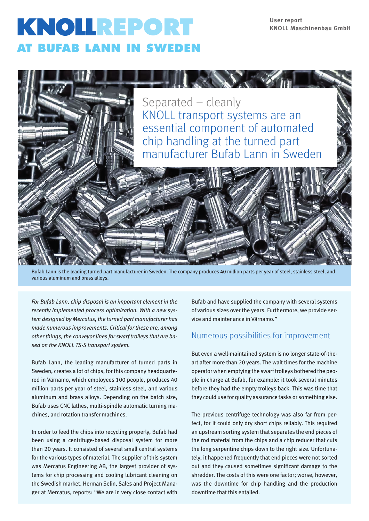# KNOLLREPORT **AT BUFAB LANN IN SWEDEN**



Bufab Lann is the leading turned part manufacturer in Sweden. The company produces 40 million parts per year of steel, stainless steel, and various aluminum and brass alloys.

*For Bufab Lann, chip disposal is an important element in the recently implemented process optimization. With a new system designed by Mercatus, the turned part manufacturer has made numerous improvements. Critical for these are, among other things, the conveyor lines for swarf trolleys that are based on the KNOLL TS-S transport system.*

Bufab Lann, the leading manufacturer of turned parts in Sweden, creates a lot of chips, for this company headquartered in Värnamo, which employees 100 people, produces 40 million parts per year of steel, stainless steel, and various aluminum and brass alloys. Depending on the batch size, Bufab uses CNC lathes, multi-spindle automatic turning machines, and rotation transfer machines.

In order to feed the chips into recycling properly, Bufab had been using a centrifuge-based disposal system for more than 20 years. It consisted of several small central systems for the various types of material. The supplier of this system was Mercatus Engineering AB, the largest provider of systems for chip processing and cooling lubricant cleaning on the Swedish market. Herman Selin, Sales and Project Manager at Mercatus, reports: "We are in very close contact with

Bufab and have supplied the company with several systems of various sizes over the years. Furthermore, we provide service and maintenance in Värnamo."

# Numerous possibilities for improvement

But even a well-maintained system is no longer state-of-theart after more than 20 years. The wait times for the machine operator when emptying the swarf trolleys bothered the people in charge at Bufab, for example: it took several minutes before they had the empty trolleys back. This was time that they could use for quality assurance tasks or something else.

The previous centrifuge technology was also far from perfect, for it could only dry short chips reliably. This required an upstream sorting system that separates the end pieces of the rod material from the chips and a chip reducer that cuts the long serpentine chips down to the right size. Unfortunately, it happened frequently that end pieces were not sorted out and they caused sometimes significant damage to the shredder. The costs of this were one factor; worse, however, was the downtime for chip handling and the production downtime that this entailed.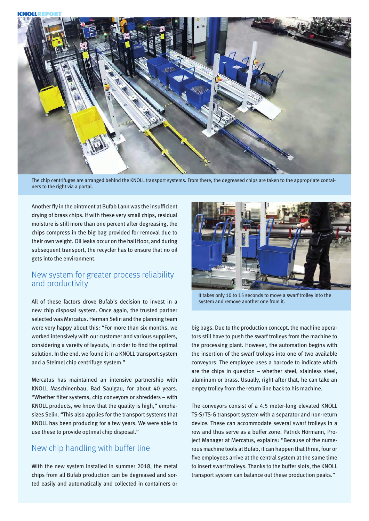

The chip centrifuges are arranged behind the KNOLL transport systems. From there, the degreased chips are taken to the appropriate containers to the right via a portal.

Another fly in the ointment at Bufab Lann was the insufficient drying of brass chips. If with these very small chips, residual moisture is still more than one percent after degreasing, the chips compress in the big bag provided for removal due to their own weight. Oil leaks occur on the hall floor, and during subsequent transport, the recycler has to ensure that no oil gets into the environment.

#### New system for greater process reliability and productivity

All of these factors drove Bufab's decision to invest in a new chip disposal system. Once again, the trusted partner selected was Mercatus. Herman Selin and the planning team were very happy about this: "For more than six months, we worked intensively with our customer and various suppliers, considering a vareity of layouts, in order to find the optimal solution. In the end, we found it in a KNOLL transport system and a Steimel chip centrifuge system."

Mercatus has maintained an intensive partnership with KNOLL Maschinenbau, Bad Saulgau, for about 40 years. "Whether filter systems, chip conveyors or shredders – with KNOLL products, we know that the quality is high," emphasizes Selin. "This also applies for the transport systems that KNOLL has been producing for a few years. We were able to use these to provide optimal chip disposal."

# New chip handling with buffer line

With the new system installed in summer 2018, the metal chips from all Bufab production can be degreased and sorted easily and automatically and collected in containers or



It takes only 10 to 15 seconds to move a swarf trolley into the system and remove another one from it.

big bags. Due to the production concept, the machine operators still have to push the swarf trolleys from the machine to the processing plant. However, the automation begins with the insertion of the swarf trolleys into one of two available conveyors. The employee uses a barcode to indicate which are the chips in question – whether steel, stainless steel, aluminum or brass. Usually, right after that, he can take an empty trolley from the return line back to his machine.

The conveyors consist of a 4.5 meter-long elevated KNOLL TS-S/TS-G transport system with a separator and non-return device. These can accommodate several swarf trolleys in a row and thus serve as a buffer zone. Patrick Hörmann, Project Manager at Mercatus, explains: "Because of the numerous machine tools at Bufab, it can happen that three, four or five employees arrive at the central system at the same time to insert swarf trolleys. Thanks to the buffer slots, the KNOLL transport system can balance out these production peaks."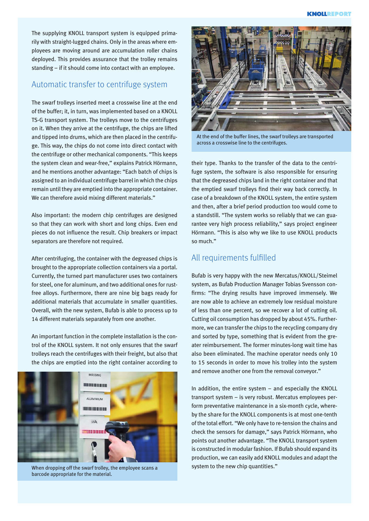The supplying KNOLL transport system is equipped primarily with straight-lugged chains. Only in the areas where employees are moving around are accumulation roller chains deployed. This provides assurance that the trolley remains standing – if it should come into contact with an employee.

#### Automatic transfer to centrifuge system

The swarf trolleys inserted meet a crosswise line at the end of the buffer; it, in turn, was implemented based on a KNOLL TS-G transport system. The trolleys move to the centrifuges on it. When they arrive at the centrifuge, the chips are lifted and tipped into drums, which are then placed in the centrifuge. This way, the chips do not come into direct contact with the centrifuge or other mechanical components. "This keeps the system clean and wear-free," explains Patrick Hörmann, and he mentions another advantage: "Each batch of chips is assigned to an individual centrifuge barrel in which the chips remain until they are emptied into the appropriate container. We can therefore avoid mixing different materials."

Also important: the modern chip centrifuges are designed so that they can work with short and long chips. Even end pieces do not influence the result. Chip breakers or impact separators are therefore not required.

After centrifuging, the container with the degreased chips is brought to the appropriate collection containers via a portal. Currently, the turned part manufacturer uses two containers for steel, one for aluminum, and two additional ones for rustfree alloys. Furthermore, there are nine big bags ready for additional materials that accumulate in smaller quantities. Overall, with the new system, Bufab is able to process up to 14 different materials separately from one another.

An important function in the complete installation is the control of the KNOLL system. It not only ensures that the swarf trolleys reach the centrifuges with their freight, but also that the chips are emptied into the right container according to



When dropping off the swarf trolley, the employee scans a barcode appropriate for the material.



At the end of the buffer lines, the swarf trolleys are transported across a crosswise line to the centrifuges.

their type. Thanks to the transfer of the data to the centrifuge system, the software is also responsible for ensuring that the degreased chips land in the right container and that the emptied swarf trolleys find their way back correctly. In case of a breakdown of the KNOLL system, the entire system and then, after a brief period production too would come to a standstill. "The system works so reliably that we can guarantee very high process reliability," says project engineer Hörmann. "This is also why we like to use KNOLL products so much."

#### All requirements fulfilled

Bufab is very happy with the new Mercatus/KNOLL/Steimel system, as Bufab Production Manager Tobias Svensson confirms: "The drying results have improved immensely. We are now able to achieve an extremely low residual moisture of less than one percent, so we recover a lot of cutting oil. Cutting oil consumption has dropped by about 45%. Furthermore, we can transfer the chips to the recycling company dry and sorted by type, something that is evident from the greater reimbursement. The former minutes-long wait time has also been eliminated. The machine operator needs only 10 to 15 seconds in order to move his trolley into the system and remove another one from the removal conveyor."

In addition, the entire system – and especially the KNOLL transport system – is very robust. Mercatus employees perform preventative maintenance in a six-month cycle, whereby the share for the KNOLL components is at most one-tenth of the total effort. "We only have to re-tension the chains and check the sensors for damage," says Patrick Hörmann, who points out another advantage. "The KNOLL transport system is constructed in modular fashion. If Bufab should expand its production, we can easily add KNOLL modules and adapt the system to the new chip quantities."